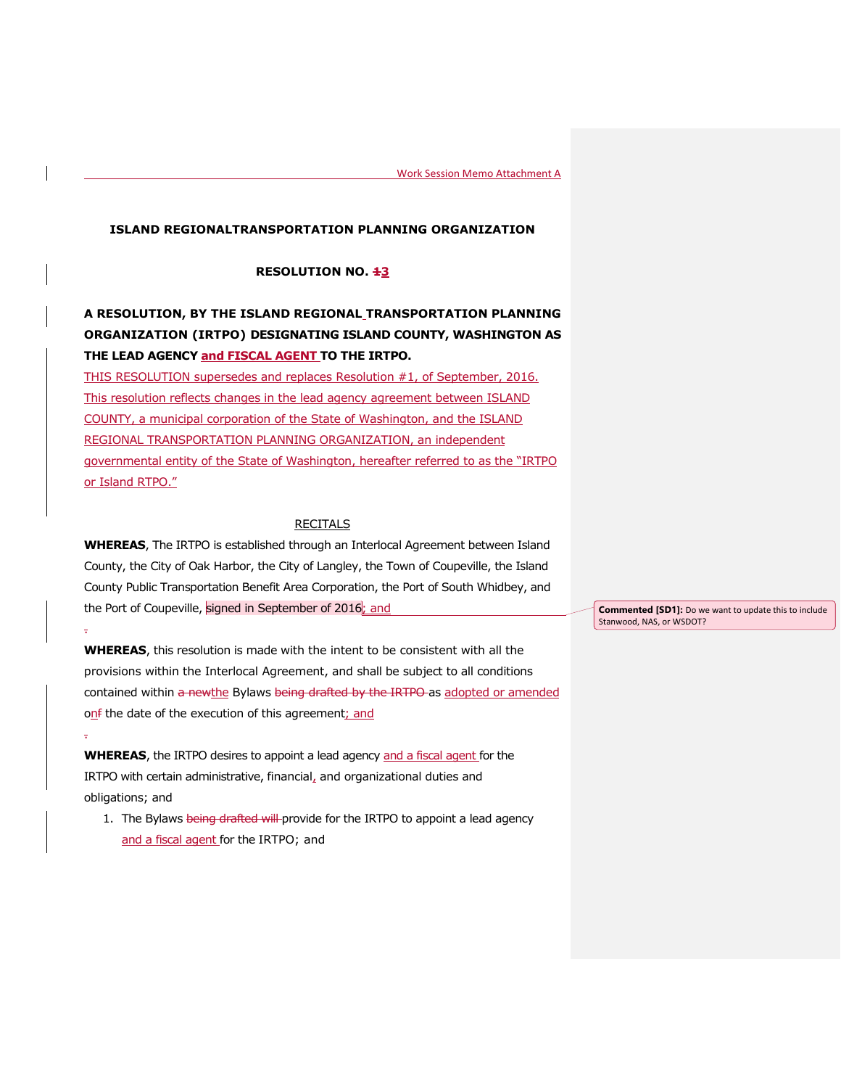## **ISLAND REGIONALTRANSPORTATION PLANNING ORGANIZATION**

## **RESOLUTION NO. 43**

## **A RESOLUTION, BY THE ISLAND REGIONAL TRANSPORTATION PLANNING ORGANIZATION (IRTPO) DESIGNATING ISLAND COUNTY, WASHINGTON AS THE LEAD AGENCY and FISCAL AGENT TO THE IRTPO.**

THIS RESOLUTION supersedes and replaces Resolution #1, of September, 2016. This resolution reflects changes in the lead agency agreement between ISLAND COUNTY, a municipal corporation of the State of Washington, and the ISLAND REGIONAL TRANSPORTATION PLANNING ORGANIZATION, an independent governmental entity of the State of Washington, hereafter referred to as the "IRTPO or Island RTPO."

## **RECITALS**

**WHEREAS**, The IRTPO is established through an Interlocal Agreement between Island County, the City of Oak Harbor, the City of Langley, the Town of Coupeville, the Island County Public Transportation Benefit Area Corporation, the Port of South Whidbey, and the Port of Coupeville, signed in September of 2016; and

**WHEREAS**, this resolution is made with the intent to be consistent with all the provisions within the Interlocal Agreement, and shall be subject to all conditions contained within a newthe Bylaws being drafted by the IRTPO as adopted or amended onf the date of the execution of this agreement; and

**WHEREAS**, the IRTPO desires to appoint a lead agency and a fiscal agent for the IRTPO with certain administrative, financial, and organizational duties and obligations; and

.

.

1. The Bylaws being drafted will provide for the IRTPO to appoint a lead agency and a fiscal agent for the IRTPO; and

**Commented [SD1]:** Do we want to update this to include Stanwood, NAS, or WSDOT?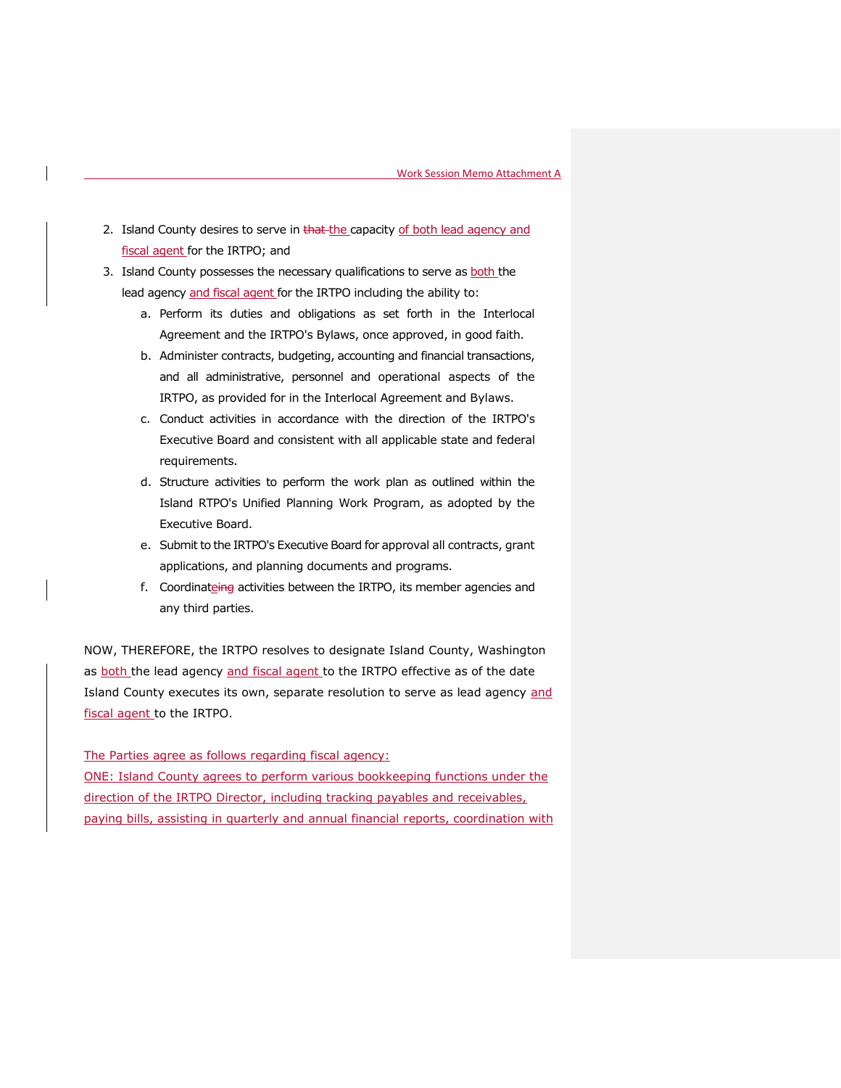- 2. Island County desires to serve in that the capacity of both lead agency and fiscal agent for the IRTPO; and
- 3. Island County possesses the necessary qualifications to serve as both the lead agency and fiscal agent for the IRTPO including the ability to:
	- a. Perform its duties and obligations as set forth in the Interlocal Agreement and the IRTPO's Bylaws, once approved, in good faith.
	- b. Administer contracts, budgeting, accounting and financial transactions, and all administrative, personnel and operational aspects of the IRTPO, as provided for in the Interlocal Agreement and Bylaws.
	- c. Conduct activities in accordance with the direction of the IRTPO's Executive Board and consistent with all applicable state and federal requirements.
	- d. Structure activities to perform the work plan as outlined within the Island RTPO's Unified Planning Work Program, as adopted by the Executive Board.
	- e. Submit to the IRTPO's Executive Board for approval all contracts, grant applications, and planning documents and programs.
	- f. Coordinateing activities between the IRTPO, its member agencies and any third parties.

NOW, THEREFORE, the IRTPO resolves to designate Island County, Washington as both the lead agency and fiscal agent to the IRTPO effective as of the date Island County executes its own, separate resolution to serve as lead agency and fiscal agent to the IRTPO.

The Parties agree as follows regarding fiscal agency:

ONE: Island County agrees to perform various bookkeeping functions under the direction of the IRTPO Director, including tracking payables and receivables, paying bills, assisting in quarterly and annual financial reports, coordination with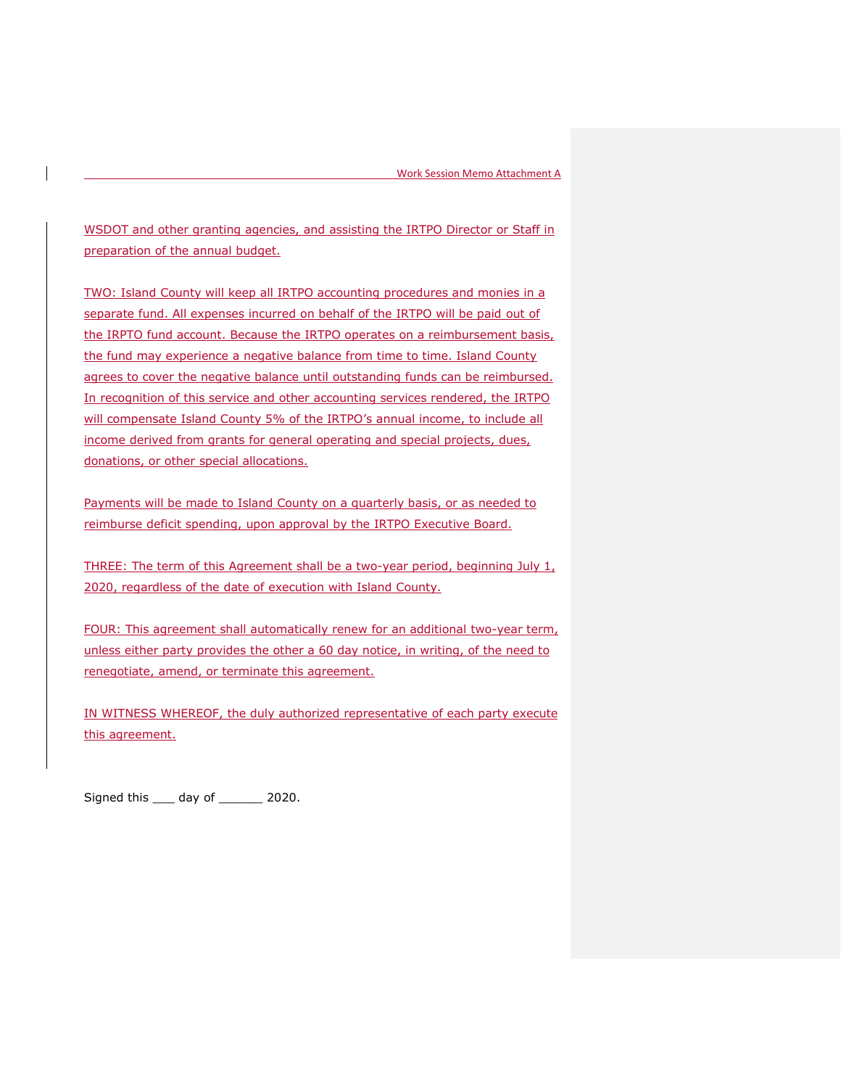WSDOT and other granting agencies, and assisting the IRTPO Director or Staff in preparation of the annual budget.

TWO: Island County will keep all IRTPO accounting procedures and monies in a separate fund. All expenses incurred on behalf of the IRTPO will be paid out of the IRPTO fund account. Because the IRTPO operates on a reimbursement basis, the fund may experience a negative balance from time to time. Island County agrees to cover the negative balance until outstanding funds can be reimbursed. In recognition of this service and other accounting services rendered, the IRTPO will compensate Island County 5% of the IRTPO's annual income, to include all income derived from grants for general operating and special projects, dues, donations, or other special allocations.

Payments will be made to Island County on a quarterly basis, or as needed to reimburse deficit spending, upon approval by the IRTPO Executive Board.

THREE: The term of this Agreement shall be a two-year period, beginning July  $1<sub>t</sub>$ 2020, regardless of the date of execution with Island County.

FOUR: This agreement shall automatically renew for an additional two-year term, unless either party provides the other a 60 day notice, in writing, of the need to renegotiate, amend, or terminate this agreement.

IN WITNESS WHEREOF, the duly authorized representative of each party execute this agreement.

Signed this \_\_\_ day of \_\_\_\_\_\_ 2020.